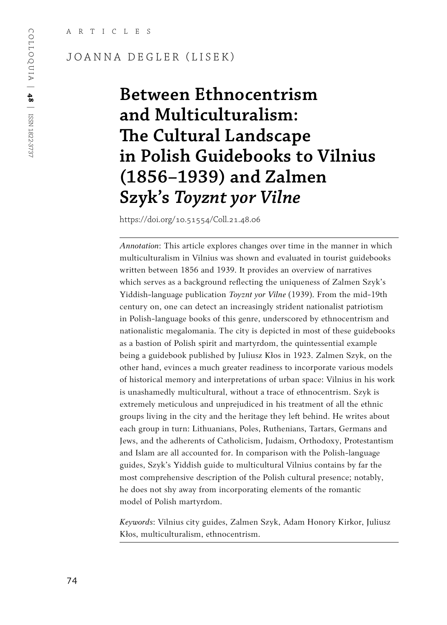#### JOANNA DEGLER (LISEK)

# **Between Ethnocentrism and Multiculturalism: The Cultural Landscape in Polish Guidebooks to Vilnius (1856–1939) and Zalmen Szyk's** *Toyznt yor Vilne*

https://doi.org/10.51554/Coll.21.48.06

*Annotation*: This article explores changes over time in the manner in which multiculturalism in Vilnius was shown and evaluated in tourist guidebooks written between 1856 and 1939. It provides an overview of narratives which serves as a background reflecting the uniqueness of Zalmen Szyk's Yiddish-language publication *Toyznt yor Vilne* (1939). From the mid-19th century on, one can detect an increasingly strident nationalist patriotism in Polish-language books of this genre, underscored by ethnocentrism and nationalistic megalomania. The city is depicted in most of these guidebooks as a bastion of Polish spirit and martyrdom, the quintessential example being a guidebook published by Juliusz Kłos in 1923. Zalmen Szyk, on the other hand, evinces a much greater readiness to incorporate various models of historical memory and interpretations of urban space: Vilnius in his work is unashamedly multicultural, without a trace of ethnocentrism. Szyk is extremely meticulous and unprejudiced in his treatment of all the ethnic groups living in the city and the heritage they left behind. He writes about each group in turn: Lithuanians, Poles, Ruthenians, Tartars, Germans and Jews, and the adherents of Catholicism, Judaism, Orthodoxy, Protestantism and Islam are all accounted for. In comparison with the Polish-language guides, Szyk's Yiddish guide to multicultural Vilnius contains by far the most comprehensive description of the Polish cultural presence; notably, he does not shy away from incorporating elements of the romantic model of Polish martyrdom.

*Keywords*: Vilnius city guides, Zalmen Szyk, Adam Honory Kirkor, Juliusz Kłos, multiculturalism, ethnocentrism.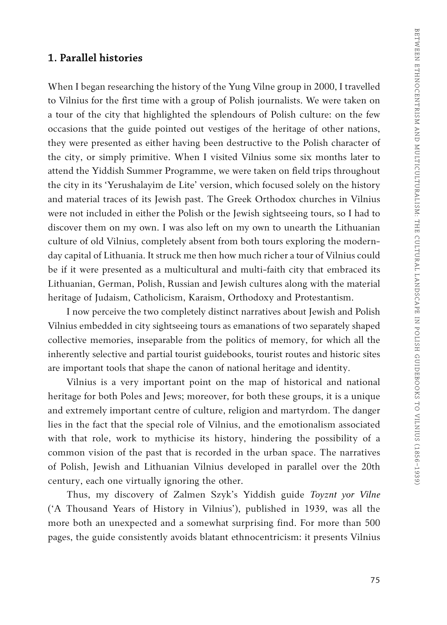#### **1. Parallel histories**

When I began researching the history of the Yung Vilne group in 2000, I travelled to Vilnius for the first time with a group of Polish journalists. We were taken on a tour of the city that highlighted the splendours of Polish culture: on the few occasions that the guide pointed out vestiges of the heritage of other nations, they were presented as either having been destructive to the Polish character of the city, or simply primitive. When I visited Vilnius some six months later to attend the Yiddish Summer Programme, we were taken on field trips throughout the city in its 'Yerushalayim de Lite' version, which focused solely on the history and material traces of its Jewish past. The Greek Orthodox churches in Vilnius were not included in either the Polish or the Jewish sightseeing tours, so I had to discover them on my own. I was also left on my own to unearth the Lithuanian culture of old Vilnius, completely absent from both tours exploring the modernday capital of Lithuania. It struck me then how much richer a tour of Vilnius could be if it were presented as a multicultural and multi-faith city that embraced its Lithuanian, German, Polish, Russian and Jewish cultures along with the material heritage of Judaism, Catholicism, Karaism, Orthodoxy and Protestantism.

I now perceive the two completely distinct narratives about Jewish and Polish Vilnius embedded in city sightseeing tours as emanations of two separately shaped collective memories, inseparable from the politics of memory, for which all the inherently selective and partial tourist guidebooks, tourist routes and historic sites are important tools that shape the canon of national heritage and identity.

Vilnius is a very important point on the map of historical and national heritage for both Poles and Jews; moreover, for both these groups, it is a unique and extremely important centre of culture, religion and martyrdom. The danger lies in the fact that the special role of Vilnius, and the emotionalism associated with that role, work to mythicise its history, hindering the possibility of a common vision of the past that is recorded in the urban space. The narratives of Polish, Jewish and Lithuanian Vilnius developed in parallel over the 20th century, each one virtually ignoring the other.

Thus, my discovery of Zalmen Szyk's Yiddish guide *Toyznt yor Vilne* ('A Thousand Years of History in Vilnius'), published in 1939, was all the more both an unexpected and a somewhat surprising find. For more than 500 pages, the guide consistently avoids blatant ethnocentricism: it presents Vilnius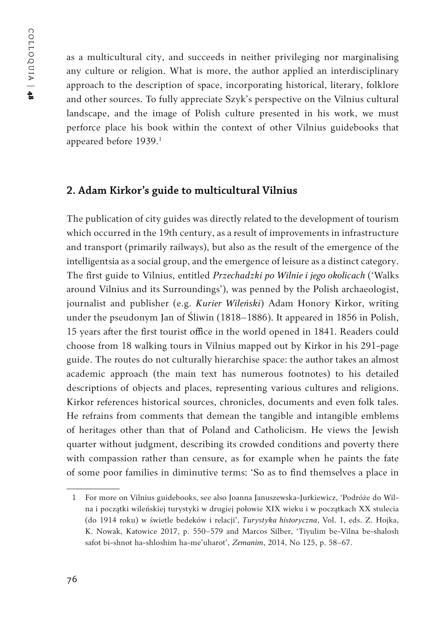as a multicultural city, and succeeds in neither privileging nor marginalising any culture or religion. What is more, the author applied an interdisciplinary approach to the description of space, incorporating historical, literary, folklore and other sources. To fully appreciate Szyk's perspective on the Vilnius cultural landscape, and the image of Polish culture presented in his work, we must perforce place his book within the context of other Vilnius guidebooks that appeared before 1939.<sup>1</sup>

#### **2. Adam Kirkor's guide to multicultural Vilnius**

The publication of city guides was directly related to the development of tourism which occurred in the 19th century, as a result of improvements in infrastructure and transport (primarily railways), but also as the result of the emergence of the intelligentsia as a social group, and the emergence of leisure as a distinct category. The first guide to Vilnius, entitled *Przechadzki po Wilnie i jego okolicach* ('Walks around Vilnius and its Surroundings'), was penned by the Polish archaeologist, journalist and publisher (e.g. *Kurier Wileński*) Adam Honory Kirkor, writing under the pseudonym Jan of Śliwin (1818–1886). It appeared in 1856 in Polish, 15 years after the first tourist office in the world opened in 1841. Readers could choose from 18 walking tours in Vilnius mapped out by Kirkor in his 291-page guide. The routes do not culturally hierarchise space: the author takes an almost academic approach (the main text has numerous footnotes) to his detailed descriptions of objects and places, representing various cultures and religions. Kirkor references historical sources, chronicles, documents and even folk tales. He refrains from comments that demean the tangible and intangible emblems of heritages other than that of Poland and Catholicism. He views the Jewish quarter without judgment, describing its crowded conditions and poverty there with compassion rather than censure, as for example when he paints the fate of some poor families in diminutive terms: 'So as to find themselves a place in

<sup>1</sup> For more on Vilnius guidebooks, see also Joanna Januszewska-Jurkiewicz, 'Podróże do Wilna i początki wileńskiej turystyki w drugiej połowie XIX wieku i w początkach XX stulecia (do 1914 roku) w świetle bedeków i relacji', *Turystyka historyczna*, Vol. 1, eds. Z. Hojka, K. Nowak, Katowice 2017, p. 550–579 and Marcos Silber, 'Tiyulim be-Vilna be-shalosh safot bi-shnot ha-shloshim ha-me'uharot', *Zemanim*, 2014, No 125, p. 58–67.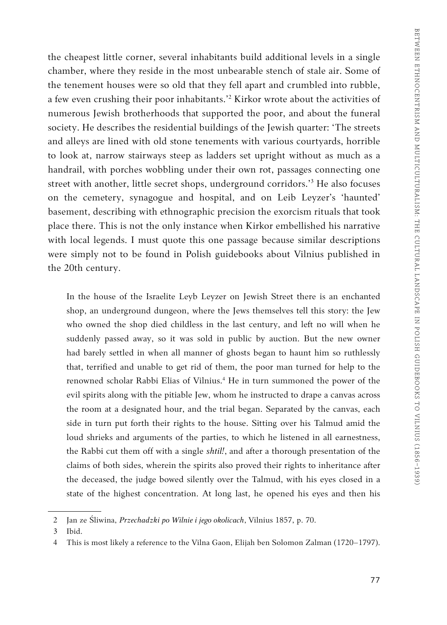the cheapest little corner, several inhabitants build additional levels in a single chamber, where they reside in the most unbearable stench of stale air. Some of the tenement houses were so old that they fell apart and crumbled into rubble, a few even crushing their poor inhabitants.'2 Kirkor wrote about the activities of numerous Jewish brotherhoods that supported the poor, and about the funeral society. He describes the residential buildings of the Jewish quarter: 'The streets and alleys are lined with old stone tenements with various courtyards, horrible to look at, narrow stairways steep as ladders set upright without as much as a handrail, with porches wobbling under their own rot, passages connecting one street with another, little secret shops, underground corridors.'3 He also focuses on the cemetery, synagogue and hospital, and on Leib Leyzer's 'haunted' basement, describing with ethnographic precision the exorcism rituals that took place there. This is not the only instance when Kirkor embellished his narrative with local legends. I must quote this one passage because similar descriptions were simply not to be found in Polish guidebooks about Vilnius published in the 20th century.

In the house of the Israelite Leyb Leyzer on Jewish Street there is an enchanted shop, an underground dungeon, where the Jews themselves tell this story: the Jew who owned the shop died childless in the last century, and left no will when he suddenly passed away, so it was sold in public by auction. But the new owner had barely settled in when all manner of ghosts began to haunt him so ruthlessly that, terrified and unable to get rid of them, the poor man turned for help to the renowned scholar Rabbi Elias of Vilnius.4 He in turn summoned the power of the evil spirits along with the pitiable Jew, whom he instructed to drape a canvas across the room at a designated hour, and the trial began. Separated by the canvas, each side in turn put forth their rights to the house. Sitting over his Talmud amid the loud shrieks and arguments of the parties, to which he listened in all earnestness, the Rabbi cut them off with a single *shtil!*, and after a thorough presentation of the claims of both sides, wherein the spirits also proved their rights to inheritance after the deceased, the judge bowed silently over the Talmud, with his eyes closed in a state of the highest concentration. At long last, he opened his eyes and then his

<sup>2</sup> Jan ze Śliwina, *Przechadzki po Wilnie i jego okolicach*, Vilnius 1857, p. 70.

<sup>3</sup> Ibid.

<sup>4</sup> This is most likely a reference to the Vilna Gaon, Elijah ben Solomon Zalman (1720–1797).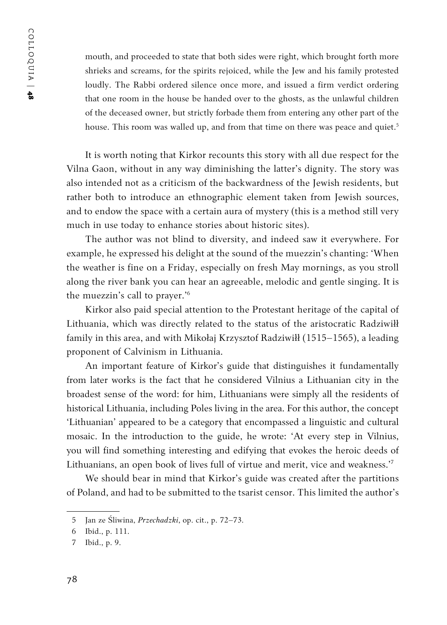mouth, and proceeded to state that both sides were right, which brought forth more shrieks and screams, for the spirits rejoiced, while the Jew and his family protested loudly. The Rabbi ordered silence once more, and issued a firm verdict ordering that one room in the house be handed over to the ghosts, as the unlawful children of the deceased owner, but strictly forbade them from entering any other part of the house. This room was walled up, and from that time on there was peace and quiet.<sup>5</sup>

It is worth noting that Kirkor recounts this story with all due respect for the Vilna Gaon, without in any way diminishing the latter's dignity. The story was also intended not as a criticism of the backwardness of the Jewish residents, but rather both to introduce an ethnographic element taken from Jewish sources, and to endow the space with a certain aura of mystery (this is a method still very much in use today to enhance stories about historic sites).

The author was not blind to diversity, and indeed saw it everywhere. For example, he expressed his delight at the sound of the muezzin's chanting: 'When the weather is fine on a Friday, especially on fresh May mornings, as you stroll along the river bank you can hear an agreeable, melodic and gentle singing. It is the muezzin's call to prayer.'<sup>6</sup>

Kirkor also paid special attention to the Protestant heritage of the capital of Lithuania, which was directly related to the status of the aristocratic Radziwiłł family in this area, and with Mikołaj Krzysztof Radziwiłł (1515–1565), a leading proponent of Calvinism in Lithuania.

An important feature of Kirkor's guide that distinguishes it fundamentally from later works is the fact that he considered Vilnius a Lithuanian city in the broadest sense of the word: for him, Lithuanians were simply all the residents of historical Lithuania, including Poles living in the area. For this author, the concept 'Lithuanian' appeared to be a category that encompassed a linguistic and cultural mosaic. In the introduction to the guide, he wrote: 'At every step in Vilnius, you will find something interesting and edifying that evokes the heroic deeds of Lithuanians, an open book of lives full of virtue and merit, vice and weakness.'7

We should bear in mind that Kirkor's guide was created after the partitions of Poland, and had to be submitted to the tsarist censor. This limited the author's

<sup>5</sup> Jan ze Śliwina, *Przechadzki*, op. cit., p. 72–73.

<sup>6</sup> Ibid., p. 111.

<sup>7</sup> Ibid., p. 9.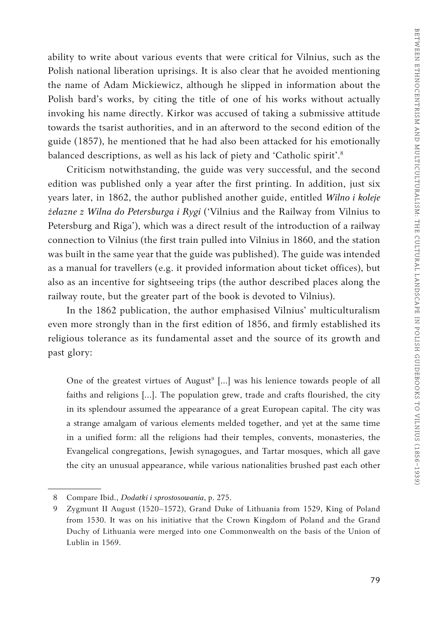ability to write about various events that were critical for Vilnius, such as the Polish national liberation uprisings. It is also clear that he avoided mentioning the name of Adam Mickiewicz, although he slipped in information about the Polish bard's works, by citing the title of one of his works without actually invoking his name directly. Kirkor was accused of taking a submissive attitude towards the tsarist authorities, and in an afterword to the second edition of the guide (1857), he mentioned that he had also been attacked for his emotionally balanced descriptions, as well as his lack of piety and 'Catholic spirit'.8

Criticism notwithstanding, the guide was very successful, and the second edition was published only a year after the first printing. In addition, just six years later, in 1862, the author published another guide, entitled *Wilno i koleje żelazne z Wilna do Petersburga i Rygi* ('Vilnius and the Railway from Vilnius to Petersburg and Riga'), which was a direct result of the introduction of a railway connection to Vilnius (the first train pulled into Vilnius in 1860, and the station was built in the same year that the guide was published). The guide was intended as a manual for travellers (e.g. it provided information about ticket offices), but also as an incentive for sightseeing trips (the author described places along the railway route, but the greater part of the book is devoted to Vilnius).

In the 1862 publication, the author emphasised Vilnius' multiculturalism even more strongly than in the first edition of 1856, and firmly established its religious tolerance as its fundamental asset and the source of its growth and past glory:

One of the greatest virtues of August<sup>9</sup> [...] was his lenience towards people of all faiths and religions [...]. The population grew, trade and crafts flourished, the city in its splendour assumed the appearance of a great European capital. The city was a strange amalgam of various elements melded together, and yet at the same time in a unified form: all the religions had their temples, convents, monasteries, the Evangelical congregations, Jewish synagogues, and Tartar mosques, which all gave the city an unusual appearance, while various nationalities brushed past each other

<sup>8</sup> Compare Ibid., *Dodatki i sprostosowania*, p. 275.

<sup>9</sup> Zygmunt II August (1520–1572), Grand Duke of Lithuania from 1529, King of Poland from 1530. It was on his initiative that the Crown Kingdom of Poland and the Grand Duchy of Lithuania were merged into one Commonwealth on the basis of the Union of Lublin in 1569.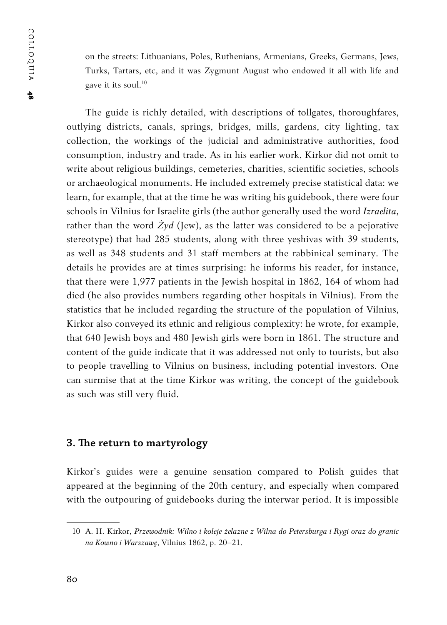on the streets: Lithuanians, Poles, Ruthenians, Armenians, Greeks, Germans, Jews, Turks, Tartars, etc, and it was Zygmunt August who endowed it all with life and gave it its soul.<sup>10</sup>

The guide is richly detailed, with descriptions of tollgates, thoroughfares, outlying districts, canals, springs, bridges, mills, gardens, city lighting, tax collection, the workings of the judicial and administrative authorities, food consumption, industry and trade. As in his earlier work, Kirkor did not omit to write about religious buildings, cemeteries, charities, scientific societies, schools or archaeological monuments. He included extremely precise statistical data: we learn, for example, that at the time he was writing his guidebook, there were four schools in Vilnius for Israelite girls (the author generally used the word *Izraelita*, rather than the word  $\dot{Z}yd$  (Jew), as the latter was considered to be a pejorative stereotype) that had 285 students, along with three yeshivas with 39 students, as well as 348 students and 31 staff members at the rabbinical seminary. The details he provides are at times surprising: he informs his reader, for instance, that there were 1,977 patients in the Jewish hospital in 1862, 164 of whom had died (he also provides numbers regarding other hospitals in Vilnius). From the statistics that he included regarding the structure of the population of Vilnius, Kirkor also conveyed its ethnic and religious complexity: he wrote, for example, that 640 Jewish boys and 480 Jewish girls were born in 1861. The structure and content of the guide indicate that it was addressed not only to tourists, but also to people travelling to Vilnius on business, including potential investors. One can surmise that at the time Kirkor was writing, the concept of the guidebook as such was still very fluid.

#### **3. The return to martyrology**

Kirkor's guides were a genuine sensation compared to Polish guides that appeared at the beginning of the 20th century, and especially when compared with the outpouring of guidebooks during the interwar period. It is impossible

<sup>10</sup> A. H. Kirkor, *Przewodnik: Wilno i koleje żelazne z Wilna do Petersburga i Rygi oraz do granic na Kowno i Warszawę*, Vilnius 1862, p. 20–21.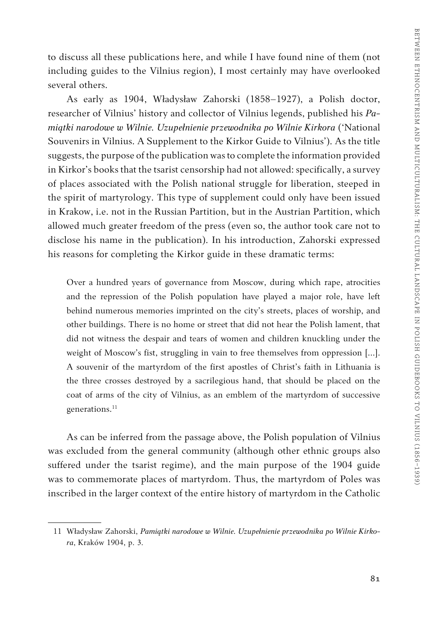to discuss all these publications here, and while I have found nine of them (not including guides to the Vilnius region), I most certainly may have overlooked several others.

As early as 1904, Władysław Zahorski (1858–1927), a Polish doctor, researcher of Vilnius' history and collector of Vilnius legends, published his *Pamiątki narodowe w Wilnie. Uzupełnienie przewodnika po Wilnie Kirkora* ('National Souvenirs in Vilnius. A Supplement to the Kirkor Guide to Vilnius'). As the title suggests, the purpose of the publication was to complete the information provided in Kirkor's books that the tsarist censorship had not allowed: specifically, a survey of places associated with the Polish national struggle for liberation, steeped in the spirit of martyrology. This type of supplement could only have been issued in Krakow, i.e. not in the Russian Partition, but in the Austrian Partition, which allowed much greater freedom of the press (even so, the author took care not to disclose his name in the publication). In his introduction, Zahorski expressed his reasons for completing the Kirkor guide in these dramatic terms:

Over a hundred years of governance from Moscow, during which rape, atrocities and the repression of the Polish population have played a major role, have left behind numerous memories imprinted on the city's streets, places of worship, and other buildings. There is no home or street that did not hear the Polish lament, that did not witness the despair and tears of women and children knuckling under the weight of Moscow's fist, struggling in vain to free themselves from oppression [...]. A souvenir of the martyrdom of the first apostles of Christ's faith in Lithuania is the three crosses destroyed by a sacrilegious hand, that should be placed on the coat of arms of the city of Vilnius, as an emblem of the martyrdom of successive generations.<sup>11</sup>

As can be inferred from the passage above, the Polish population of Vilnius was excluded from the general community (although other ethnic groups also suffered under the tsarist regime), and the main purpose of the 1904 guide was to commemorate places of martyrdom. Thus, the martyrdom of Poles was inscribed in the larger context of the entire history of martyrdom in the Catholic

<sup>11</sup> Władysław Zahorski, *Pamiątki narodowe w Wilnie. Uzupełnienie przewodnika po Wilnie Kirkora*, Kraków 1904, p. 3.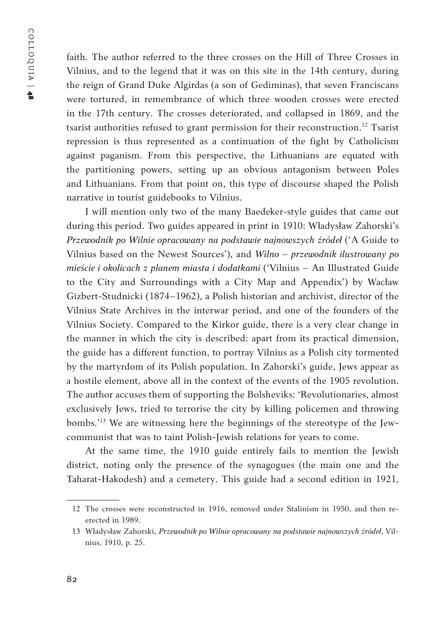faith. The author referred to the three crosses on the Hill of Three Crosses in Vilnius, and to the legend that it was on this site in the 14th century, during the reign of Grand Duke Algirdas (a son of Gediminas), that seven Franciscans were tortured, in remembrance of which three wooden crosses were erected in the 17th century. The crosses deteriorated, and collapsed in 1869, and the tsarist authorities refused to grant permission for their reconstruction.<sup>12</sup> Tsarist repression is thus represented as a continuation of the fight by Catholicism against paganism. From this perspective, the Lithuanians are equated with the partitioning powers, setting up an obvious antagonism between Poles and Lithuanians. From that point on, this type of discourse shaped the Polish narrative in tourist guidebooks to Vilnius.

I will mention only two of the many Baedeker-style guides that came out during this period. Two guides appeared in print in 1910: Władysław Zahorski's *Przewodnik po Wilnie opracowany na podstawie najnowszych źródeł* ('A Guide to Vilnius based on the Newest Sources'), and *Wilno – przewodnik ilustrowany po mieście i okolicach z planem miasta i dodatkami* ('Vilnius – An Illustrated Guide to the City and Surroundings with a City Map and Appendix') by Wacław Gizbert-Studnicki (1874–1962), a Polish historian and archivist, director of the Vilnius State Archives in the interwar period, and one of the founders of the Vilnius Society. Compared to the Kirkor guide, there is a very clear change in the manner in which the city is described: apart from its practical dimension, the guide has a different function, to portray Vilnius as a Polish city tormented by the martyrdom of its Polish population. In Zahorski's guide, Jews appear as a hostile element, above all in the context of the events of the 1905 revolution. The author accuses them of supporting the Bolsheviks: 'Revolutionaries, almost exclusively Jews, tried to terrorise the city by killing policemen and throwing bombs.'13 We are witnessing here the beginnings of the stereotype of the Jewcommunist that was to taint Polish-Jewish relations for years to come.

At the same time, the 1910 guide entirely fails to mention the Jewish district, noting only the presence of the synagogues (the main one and the Taharat-Hakodesh) and a cemetery. This guide had a second edition in 1921,

<sup>12</sup> The crosses were reconstructed in 1916, removed under Stalinism in 1950, and then reerected in 1989.

<sup>13</sup> Władysław Zahorski, *Przewodnik po Wilnie opracowany na podstawie najnowszych źródeł*, Vilnius, 1910, p. 25.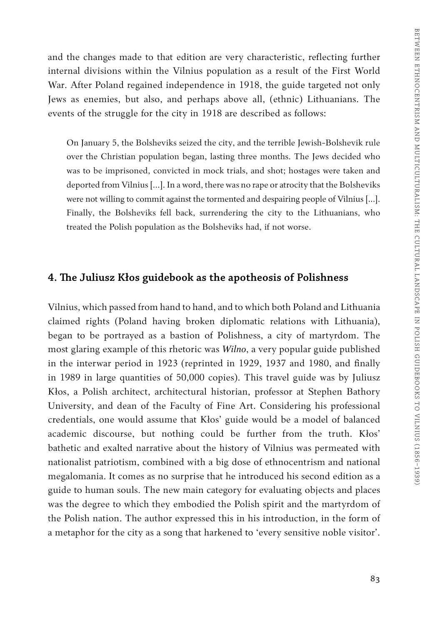and the changes made to that edition are very characteristic, reflecting further internal divisions within the Vilnius population as a result of the First World War. After Poland regained independence in 1918, the guide targeted not only Jews as enemies, but also, and perhaps above all, (ethnic) Lithuanians. The events of the struggle for the city in 1918 are described as follows:

On January 5, the Bolsheviks seized the city, and the terrible Jewish-Bolshevik rule over the Christian population began, lasting three months. The Jews decided who was to be imprisoned, convicted in mock trials, and shot; hostages were taken and deported from Vilnius [...]. In a word, there was no rape or atrocity that the Bolsheviks were not willing to commit against the tormented and despairing people of Vilnius [...]. Finally, the Bolsheviks fell back, surrendering the city to the Lithuanians, who treated the Polish population as the Bolsheviks had, if not worse.

#### **4. The Juliusz Kłos guidebook as the apotheosis of Polishness**

Vilnius, which passed from hand to hand, and to which both Poland and Lithuania claimed rights (Poland having broken diplomatic relations with Lithuania), began to be portrayed as a bastion of Polishness, a city of martyrdom. The most glaring example of this rhetoric was *Wilno*, a very popular guide published in the interwar period in 1923 (reprinted in 1929, 1937 and 1980, and finally in 1989 in large quantities of 50,000 copies). This travel guide was by Juliusz Kłos, a Polish architect, architectural historian, professor at Stephen Bathory University, and dean of the Faculty of Fine Art. Considering his professional credentials, one would assume that Kłos' guide would be a model of balanced academic discourse, but nothing could be further from the truth. Kłos' bathetic and exalted narrative about the history of Vilnius was permeated with nationalist patriotism, combined with a big dose of ethnocentrism and national megalomania. It comes as no surprise that he introduced his second edition as a guide to human souls. The new main category for evaluating objects and places was the degree to which they embodied the Polish spirit and the martyrdom of the Polish nation. The author expressed this in his introduction, in the form of a metaphor for the city as a song that harkened to 'every sensitive noble visitor'.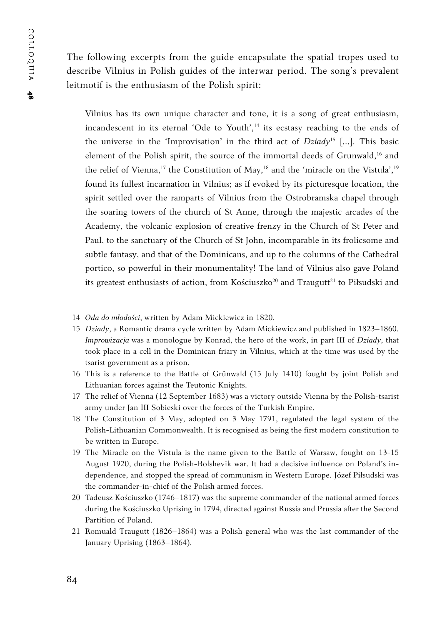The following excerpts from the guide encapsulate the spatial tropes used to describe Vilnius in Polish guides of the interwar period. The song's prevalent leitmotif is the enthusiasm of the Polish spirit:

Vilnius has its own unique character and tone, it is a song of great enthusiasm, incandescent in its eternal 'Ode to Youth',<sup>14</sup> its ecstasy reaching to the ends of the universe in the 'Improvisation' in the third act of *Dziady*15 […]. This basic element of the Polish spirit, the source of the immortal deeds of Grunwald,<sup>16</sup> and the relief of Vienna,<sup>17</sup> the Constitution of May,<sup>18</sup> and the 'miracle on the Vistula',<sup>19</sup> found its fullest incarnation in Vilnius; as if evoked by its picturesque location, the spirit settled over the ramparts of Vilnius from the Ostrobramska chapel through the soaring towers of the church of St Anne, through the majestic arcades of the Academy, the volcanic explosion of creative frenzy in the Church of St Peter and Paul, to the sanctuary of the Church of St John, incomparable in its frolicsome and subtle fantasy, and that of the Dominicans, and up to the columns of the Cathedral portico, so powerful in their monumentality! The land of Vilnius also gave Poland its greatest enthusiasts of action, from Kościuszko<sup>20</sup> and Traugutt<sup>21</sup> to Piłsudski and

<sup>14</sup> *Oda do młodości*, written by Adam Mickiewicz in 1820.

<sup>15</sup> *Dziady*, a Romantic drama cycle written by Adam Mickiewicz and published in 1823–1860. *Improwizacja* was a monologue by Konrad, the hero of the work, in part III of *Dziady*, that took place in a cell in the Dominican friary in Vilnius, which at the time was used by the tsarist government as a prison.

<sup>16</sup> This is a reference to the Battle of Grünwald (15 July 1410) fought by joint Polish and Lithuanian forces against the Teutonic Knights.

<sup>17</sup> The relief of Vienna (12 September 1683) was a victory outside Vienna by the Polish-tsarist army under Jan III Sobieski over the forces of the Turkish Empire.

<sup>18</sup> The Constitution of 3 May, adopted on 3 May 1791, regulated the legal system of the Polish-Lithuanian Commonwealth. It is recognised as being the first modern constitution to be written in Europe.

<sup>19</sup> The Miracle on the Vistula is the name given to the Battle of Warsaw, fought on 13-15 August 1920, during the Polish-Bolshevik war. It had a decisive influence on Poland's independence, and stopped the spread of communism in Western Europe. Józef Piłsudski was the commander-in-chief of the Polish armed forces.

<sup>20</sup> Tadeusz Kościuszko (1746–1817) was the supreme commander of the national armed forces during the Kościuszko Uprising in 1794, directed against Russia and Prussia after the Second Partition of Poland.

<sup>21</sup> Romuald Traugutt (1826–1864) was a Polish general who was the last commander of the January Uprising (1863–1864).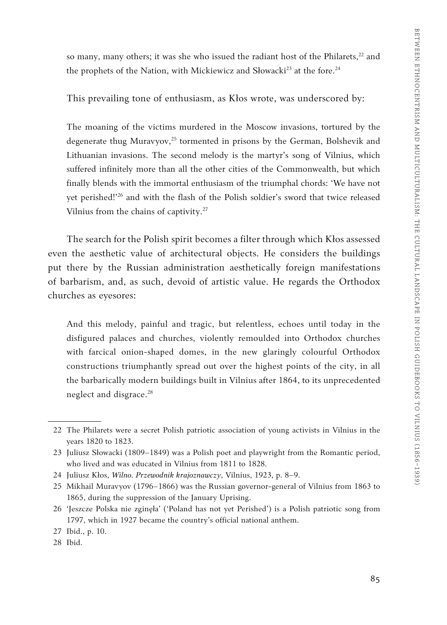so many, many others; it was she who issued the radiant host of the Philarets,<sup>22</sup> and the prophets of the Nation, with Mickiewicz and Słowacki<sup>23</sup> at the fore.<sup>24</sup>

This prevailing tone of enthusiasm, as Kłos wrote, was underscored by:

The moaning of the victims murdered in the Moscow invasions, tortured by the degenerate thug Muravyov,<sup>25</sup> tormented in prisons by the German, Bolshevik and Lithuanian invasions. The second melody is the martyr's song of Vilnius, which suffered infinitely more than all the other cities of the Commonwealth, but which finally blends with the immortal enthusiasm of the triumphal chords: 'We have not yet perished!'26 and with the flash of the Polish soldier's sword that twice released Vilnius from the chains of captivity.27

The search for the Polish spirit becomes a filter through which Kłos assessed even the aesthetic value of architectural objects. He considers the buildings put there by the Russian administration aesthetically foreign manifestations of barbarism, and, as such, devoid of artistic value. He regards the Orthodox churches as eyesores:

And this melody, painful and tragic, but relentless, echoes until today in the disfigured palaces and churches, violently remoulded into Orthodox churches with farcical onion-shaped domes, in the new glaringly colourful Orthodox constructions triumphantly spread out over the highest points of the city, in all the barbarically modern buildings built in Vilnius after 1864, to its unprecedented neglect and disgrace.<sup>28</sup>

<sup>22</sup> The Philarets were a secret Polish patriotic association of young activists in Vilnius in the years 1820 to 1823.

<sup>23</sup> Juliusz Słowacki (1809–1849) was a Polish poet and playwright from the Romantic period, who lived and was educated in Vilnius from 1811 to 1828.

<sup>24</sup> Juliusz Kłos, *Wilno. Przewodnik krajoznawczy*, Vilnius, 1923, p. 8–9.

<sup>25</sup> Mikhail Muravyov (1796–1866) was the Russian governor-general of Vilnius from 1863 to 1865, during the suppression of the January Uprising.

<sup>26</sup> 'Jeszcze Polska nie zginęła' ('Poland has not yet Perished') is a Polish patriotic song from 1797, which in 1927 became the country's official national anthem.

<sup>27</sup> Ibid., p. 10.

<sup>28</sup> Ibid.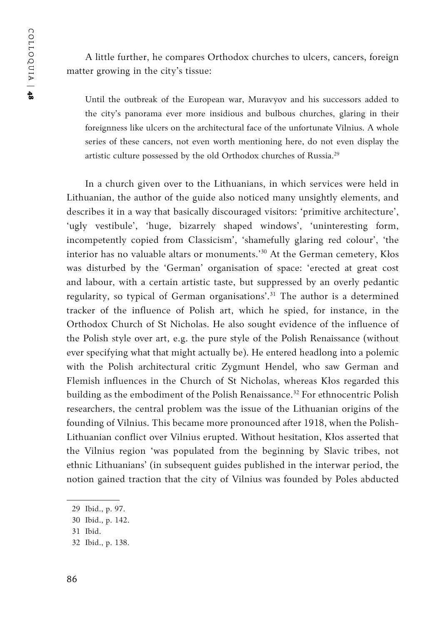A little further, he compares Orthodox churches to ulcers, cancers, foreign matter growing in the city's tissue:

Until the outbreak of the European war, Muravyov and his successors added to the city's panorama ever more insidious and bulbous churches, glaring in their foreignness like ulcers on the architectural face of the unfortunate Vilnius. A whole series of these cancers, not even worth mentioning here, do not even display the artistic culture possessed by the old Orthodox churches of Russia.<sup>29</sup>

In a church given over to the Lithuanians, in which services were held in Lithuanian, the author of the guide also noticed many unsightly elements, and describes it in a way that basically discouraged visitors: 'primitive architecture', 'ugly vestibule', 'huge, bizarrely shaped windows', 'uninteresting form, incompetently copied from Classicism', 'shamefully glaring red colour', 'the interior has no valuable altars or monuments.'30 At the German cemetery, Kłos was disturbed by the 'German' organisation of space: 'erected at great cost and labour, with a certain artistic taste, but suppressed by an overly pedantic regularity, so typical of German organisations'.<sup>31</sup> The author is a determined tracker of the influence of Polish art, which he spied, for instance, in the Orthodox Church of St Nicholas. He also sought evidence of the influence of the Polish style over art, e.g. the pure style of the Polish Renaissance (without ever specifying what that might actually be). He entered headlong into a polemic with the Polish architectural critic Zygmunt Hendel, who saw German and Flemish influences in the Church of St Nicholas, whereas Kłos regarded this building as the embodiment of the Polish Renaissance.<sup>32</sup> For ethnocentric Polish researchers, the central problem was the issue of the Lithuanian origins of the founding of Vilnius. This became more pronounced after 1918, when the Polish-Lithuanian conflict over Vilnius erupted. Without hesitation, Kłos asserted that the Vilnius region 'was populated from the beginning by Slavic tribes, not ethnic Lithuanians' (in subsequent guides published in the interwar period, the notion gained traction that the city of Vilnius was founded by Poles abducted

<sup>29</sup> Ibid., p. 97.

<sup>30</sup> Ibid., p. 142.

<sup>31</sup> Ibid.

<sup>32</sup> Ibid., p. 138.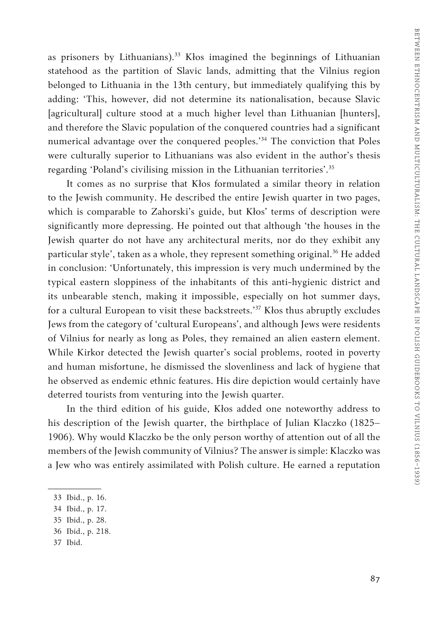as prisoners by Lithuanians).<sup>33</sup> Kłos imagined the beginnings of Lithuanian statehood as the partition of Slavic lands, admitting that the Vilnius region belonged to Lithuania in the 13th century, but immediately qualifying this by adding: 'This, however, did not determine its nationalisation, because Slavic [agricultural] culture stood at a much higher level than Lithuanian [hunters], and therefore the Slavic population of the conquered countries had a significant numerical advantage over the conquered peoples.'34 The conviction that Poles were culturally superior to Lithuanians was also evident in the author's thesis regarding 'Poland's civilising mission in the Lithuanian territories'.<sup>35</sup>

It comes as no surprise that Kłos formulated a similar theory in relation to the Jewish community. He described the entire Jewish quarter in two pages, which is comparable to Zahorski's guide, but Kłos' terms of description were significantly more depressing. He pointed out that although 'the houses in the Jewish quarter do not have any architectural merits, nor do they exhibit any particular style', taken as a whole, they represent something original.<sup>36</sup> He added in conclusion: 'Unfortunately, this impression is very much undermined by the typical eastern sloppiness of the inhabitants of this anti-hygienic district and its unbearable stench, making it impossible, especially on hot summer days, for a cultural European to visit these backstreets.'37 Kłos thus abruptly excludes Jews from the category of 'cultural Europeans', and although Jews were residents of Vilnius for nearly as long as Poles, they remained an alien eastern element. While Kirkor detected the Jewish quarter's social problems, rooted in poverty and human misfortune, he dismissed the slovenliness and lack of hygiene that he observed as endemic ethnic features. His dire depiction would certainly have deterred tourists from venturing into the Jewish quarter.

In the third edition of his guide, Kłos added one noteworthy address to his description of the Jewish quarter, the birthplace of Julian Klaczko (1825– 1906). Why would Klaczko be the only person worthy of attention out of all the members of the Jewish community of Vilnius? The answer is simple: Klaczko was a Jew who was entirely assimilated with Polish culture. He earned a reputation

37 Ibid.

<sup>33</sup> Ibid., p. 16.

<sup>34</sup> Ibid., p. 17.

<sup>35</sup> Ibid., p. 28.

<sup>36</sup> Ibid., p. 218.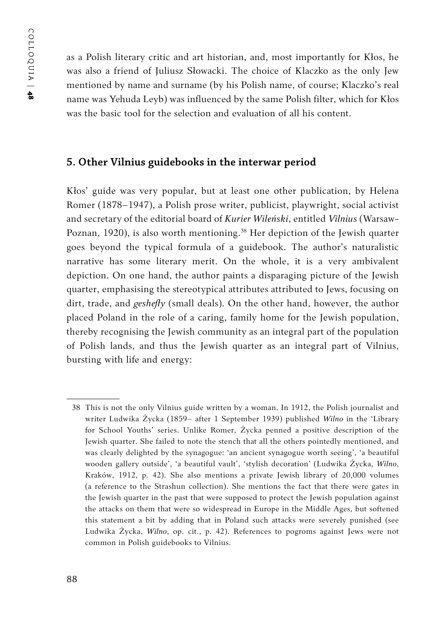as a Polish literary critic and art historian, and, most importantly for Kłos, he was also a friend of Juliusz Słowacki. The choice of Klaczko as the only Jew mentioned by name and surname (by his Polish name, of course; Klaczko's real name was Yehuda Leyb) was influenced by the same Polish filter, which for Kłos was the basic tool for the selection and evaluation of all his content.

#### **5. Other Vilnius guidebooks in the interwar period**

Kłos' guide was very popular, but at least one other publication, by Helena Romer (1878–1947), a Polish prose writer, publicist, playwright, social activist and secretary of the editorial board of *Kurier Wileński*, entitled *Vilnius* (Warsaw-Poznan, 1920), is also worth mentioning.<sup>38</sup> Her depiction of the Jewish quarter goes beyond the typical formula of a guidebook. The author's naturalistic narrative has some literary merit. On the whole, it is a very ambivalent depiction. On one hand, the author paints a disparaging picture of the Jewish quarter, emphasising the stereotypical attributes attributed to Jews, focusing on dirt, trade, and *geshefty* (small deals). On the other hand, however, the author placed Poland in the role of a caring, family home for the Jewish population, thereby recognising the Jewish community as an integral part of the population of Polish lands, and thus the Jewish quarter as an integral part of Vilnius, bursting with life and energy:

<sup>38</sup> This is not the only Vilnius guide written by a woman. In 1912, the Polish journalist and writer Ludwika Życka (1859– after 1 September 1939) published *Wilno* in the 'Library for School Youths' series. Unlike Romer, Życka penned a positive description of the Jewish quarter. She failed to note the stench that all the others pointedly mentioned, and was clearly delighted by the synagogue: 'an ancient synagogue worth seeing', 'a beautiful wooden gallery outside', 'a beautiful vault', 'stylish decoration' (Ludwika Życka, *Wilno*, Kraków, 1912, p. 42). She also mentions a private Jewish library of 20,000 volumes (a reference to the Strashun collection). She mentions the fact that there were gates in the Jewish quarter in the past that were supposed to protect the Jewish population against the attacks on them that were so widespread in Europe in the Middle Ages, but softened this statement a bit by adding that in Poland such attacks were severely punished (see Ludwika Życka, *Wilno*, op. cit., p. 42). References to pogroms against Jews were not common in Polish guidebooks to Vilnius.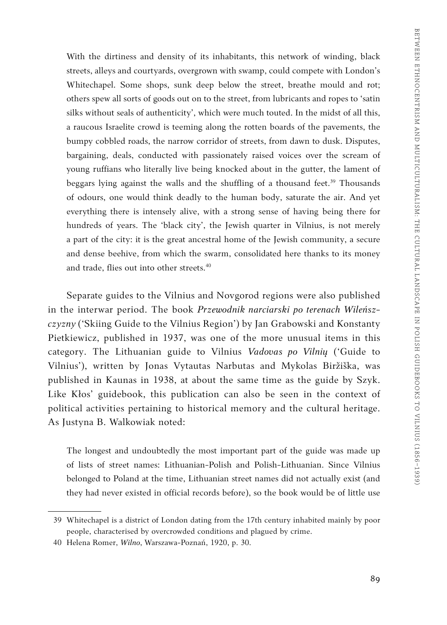With the dirtiness and density of its inhabitants, this network of winding, black streets, alleys and courtyards, overgrown with swamp, could compete with London's Whitechapel. Some shops, sunk deep below the street, breathe mould and rot; others spew all sorts of goods out on to the street, from lubricants and ropes to 'satin silks without seals of authenticity', which were much touted. In the midst of all this, a raucous Israelite crowd is teeming along the rotten boards of the pavements, the bumpy cobbled roads, the narrow corridor of streets, from dawn to dusk. Disputes, bargaining, deals, conducted with passionately raised voices over the scream of young ruffians who literally live being knocked about in the gutter, the lament of beggars lying against the walls and the shuffling of a thousand feet.<sup>39</sup> Thousands of odours, one would think deadly to the human body, saturate the air. And yet everything there is intensely alive, with a strong sense of having being there for hundreds of years. The 'black city', the Jewish quarter in Vilnius, is not merely a part of the city: it is the great ancestral home of the Jewish community, a secure and dense beehive, from which the swarm, consolidated here thanks to its money and trade, flies out into other streets.<sup>40</sup>

Separate guides to the Vilnius and Novgorod regions were also published in the interwar period. The book *Przewodnik narciarski po terenach Wileńszczyzny* ('Skiing Guide to the Vilnius Region') by Jan Grabowski and Konstanty Pietkiewicz, published in 1937, was one of the more unusual items in this category. The Lithuanian guide to Vilnius *Vadovas po Vilnių* ('Guide to Vilnius'), written by Jonas Vytautas Narbutas and Mykolas Biržiška, was published in Kaunas in 1938, at about the same time as the guide by Szyk. Like Kłos' guidebook, this publication can also be seen in the context of political activities pertaining to historical memory and the cultural heritage. As Justyna B. Walkowiak noted:

The longest and undoubtedly the most important part of the guide was made up of lists of street names: Lithuanian-Polish and Polish-Lithuanian. Since Vilnius belonged to Poland at the time, Lithuanian street names did not actually exist (and they had never existed in official records before), so the book would be of little use

<sup>39</sup> Whitechapel is a district of London dating from the 17th century inhabited mainly by poor people, characterised by overcrowded conditions and plagued by crime.

<sup>40</sup> Helena Romer, *Wilno*, Warszawa-Poznań, 1920, p. 30.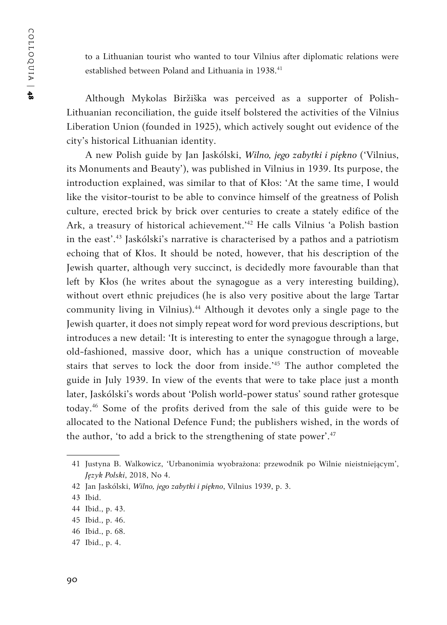to a Lithuanian tourist who wanted to tour Vilnius after diplomatic relations were established between Poland and Lithuania in 1938.<sup>41</sup>

Although Mykolas Biržiška was perceived as a supporter of Polish-Lithuanian reconciliation, the guide itself bolstered the activities of the Vilnius Liberation Union (founded in 1925), which actively sought out evidence of the city's historical Lithuanian identity.

A new Polish guide by Jan Jaskólski, *Wilno, jego zabytki i piękno* ('Vilnius, its Monuments and Beauty'), was published in Vilnius in 1939. Its purpose, the introduction explained, was similar to that of Kłos: 'At the same time, I would like the visitor-tourist to be able to convince himself of the greatness of Polish culture, erected brick by brick over centuries to create a stately edifice of the Ark, a treasury of historical achievement.'42 He calls Vilnius 'a Polish bastion in the east'.43 Jaskólski's narrative is characterised by a pathos and a patriotism echoing that of Kłos. It should be noted, however, that his description of the Jewish quarter, although very succinct, is decidedly more favourable than that left by Kłos (he writes about the synagogue as a very interesting building), without overt ethnic prejudices (he is also very positive about the large Tartar community living in Vilnius).44 Although it devotes only a single page to the Jewish quarter, it does not simply repeat word for word previous descriptions, but introduces a new detail: 'It is interesting to enter the synagogue through a large, old-fashioned, massive door, which has a unique construction of moveable stairs that serves to lock the door from inside.'45 The author completed the guide in July 1939. In view of the events that were to take place just a month later, Jaskólski's words about 'Polish world-power status' sound rather grotesque today.46 Some of the profits derived from the sale of this guide were to be allocated to the National Defence Fund; the publishers wished, in the words of the author, 'to add a brick to the strengthening of state power'.<sup>47</sup>

47 Ibid., p. 4.

<sup>41</sup> Justyna B. Walkowicz, 'Urbanonimia wyobrażona: przewodnik po Wilnie nieistniejącym', *Język Polski*, 2018, No 4.

<sup>42</sup> Jan Jaskólski, *Wilno, jego zabytki i piękno*, Vilnius 1939, p. 3.

<sup>43</sup> Ibid.

<sup>44</sup> Ibid., p. 43.

<sup>45</sup> Ibid., p. 46.

<sup>46</sup> Ibid., p. 68.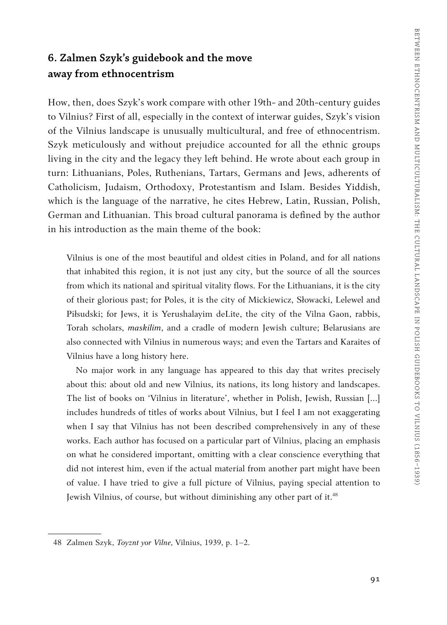### **6. Zalmen Szyk's guidebook and the move away from ethnocentrism**

How, then, does Szyk's work compare with other 19th- and 20th-century guides to Vilnius? First of all, especially in the context of interwar guides, Szyk's vision of the Vilnius landscape is unusually multicultural, and free of ethnocentrism. Szyk meticulously and without prejudice accounted for all the ethnic groups living in the city and the legacy they left behind. He wrote about each group in turn: Lithuanians, Poles, Ruthenians, Tartars, Germans and Jews, adherents of Catholicism, Judaism, Orthodoxy, Protestantism and Islam. Besides Yiddish, which is the language of the narrative, he cites Hebrew, Latin, Russian, Polish, German and Lithuanian. This broad cultural panorama is defined by the author in his introduction as the main theme of the book:

Vilnius is one of the most beautiful and oldest cities in Poland, and for all nations that inhabited this region, it is not just any city, but the source of all the sources from which its national and spiritual vitality flows. For the Lithuanians, it is the city of their glorious past; for Poles, it is the city of Mickiewicz, Słowacki, Lelewel and Piłsudski; for Jews, it is Yerushalayim deLite, the city of the Vilna Gaon, rabbis, Torah scholars, *maskilim*, and a cradle of modern Jewish culture; Belarusians are also connected with Vilnius in numerous ways; and even the Tartars and Karaites of Vilnius have a long history here.

No major work in any language has appeared to this day that writes precisely about this: about old and new Vilnius, its nations, its long history and landscapes. The list of books on 'Vilnius in literature', whether in Polish, Jewish, Russian […] includes hundreds of titles of works about Vilnius, but I feel I am not exaggerating when I say that Vilnius has not been described comprehensively in any of these works. Each author has focused on a particular part of Vilnius, placing an emphasis on what he considered important, omitting with a clear conscience everything that did not interest him, even if the actual material from another part might have been of value. I have tried to give a full picture of Vilnius, paying special attention to Jewish Vilnius, of course, but without diminishing any other part of it.<sup>48</sup>

<sup>48</sup> Zalmen Szyk, *Toyznt yor Vilne*, Vilnius, 1939, p. 1–2.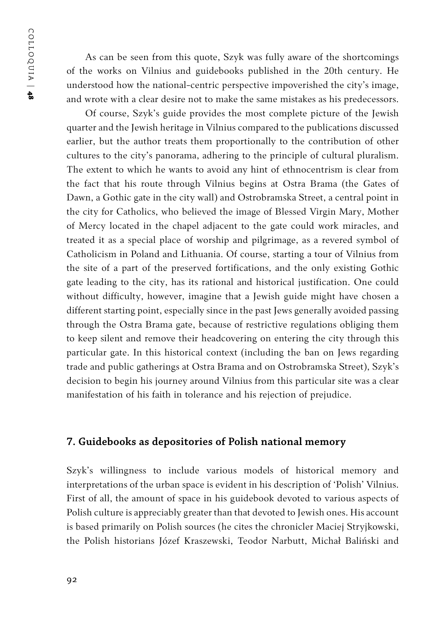COLLOQUIA | COLLOQUIA | 48

As can be seen from this quote, Szyk was fully aware of the shortcomings of the works on Vilnius and guidebooks published in the 20th century. He understood how the national-centric perspective impoverished the city's image, and wrote with a clear desire not to make the same mistakes as his predecessors.

Of course, Szyk's guide provides the most complete picture of the Jewish quarter and the Jewish heritage in Vilnius compared to the publications discussed earlier, but the author treats them proportionally to the contribution of other cultures to the city's panorama, adhering to the principle of cultural pluralism. The extent to which he wants to avoid any hint of ethnocentrism is clear from the fact that his route through Vilnius begins at Ostra Brama (the Gates of Dawn, a Gothic gate in the city wall) and Ostrobramska Street, a central point in the city for Catholics, who believed the image of Blessed Virgin Mary, Mother of Mercy located in the chapel adjacent to the gate could work miracles, and treated it as a special place of worship and pilgrimage, as a revered symbol of Catholicism in Poland and Lithuania. Of course, starting a tour of Vilnius from the site of a part of the preserved fortifications, and the only existing Gothic gate leading to the city, has its rational and historical justification. One could without difficulty, however, imagine that a Jewish guide might have chosen a different starting point, especially since in the past Jews generally avoided passing through the Ostra Brama gate, because of restrictive regulations obliging them to keep silent and remove their headcovering on entering the city through this particular gate. In this historical context (including the ban on Jews regarding trade and public gatherings at Ostra Brama and on Ostrobramska Street), Szyk's decision to begin his journey around Vilnius from this particular site was a clear manifestation of his faith in tolerance and his rejection of prejudice.

#### **7. Guidebooks as depositories of Polish national memory**

Szyk's willingness to include various models of historical memory and interpretations of the urban space is evident in his description of 'Polish' Vilnius. First of all, the amount of space in his guidebook devoted to various aspects of Polish culture is appreciably greater than that devoted to Jewish ones. His account is based primarily on Polish sources (he cites the chronicler Maciej Stryjkowski, the Polish historians Józef Kraszewski, Teodor Narbutt, Michał Baliński and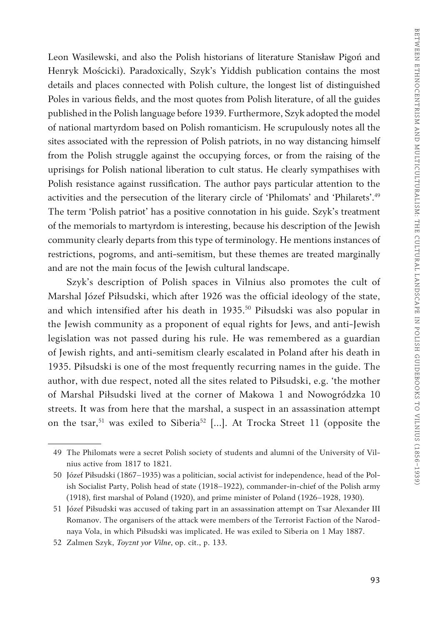Leon Wasilewski, and also the Polish historians of literature Stanisław Pigoń and Henryk Mościcki). Paradoxically, Szyk's Yiddish publication contains the most details and places connected with Polish culture, the longest list of distinguished Poles in various fields, and the most quotes from Polish literature, of all the guides published in the Polish language before 1939. Furthermore, Szyk adopted the model of national martyrdom based on Polish romanticism. He scrupulously notes all the sites associated with the repression of Polish patriots, in no way distancing himself from the Polish struggle against the occupying forces, or from the raising of the uprisings for Polish national liberation to cult status. He clearly sympathises with Polish resistance against russification. The author pays particular attention to the activities and the persecution of the literary circle of 'Philomats' and 'Philarets'.<sup>49</sup> The term 'Polish patriot' has a positive connotation in his guide. Szyk's treatment of the memorials to martyrdom is interesting, because his description of the Jewish community clearly departs from this type of terminology. He mentions instances of restrictions, pogroms, and anti-semitism, but these themes are treated marginally and are not the main focus of the Jewish cultural landscape.

Szyk's description of Polish spaces in Vilnius also promotes the cult of Marshal Józef Piłsudski, which after 1926 was the official ideology of the state, and which intensified after his death in 1935.<sup>50</sup> Piłsudski was also popular in the Jewish community as a proponent of equal rights for Jews, and anti-Jewish legislation was not passed during his rule. He was remembered as a guardian of Jewish rights, and anti-semitism clearly escalated in Poland after his death in 1935. Piłsudski is one of the most frequently recurring names in the guide. The author, with due respect, noted all the sites related to Piłsudski, e.g. 'the mother of Marshal Piłsudski lived at the corner of Makowa 1 and Nowogródzka 10 streets. It was from here that the marshal, a suspect in an assassination attempt on the tsar,<sup>51</sup> was exiled to Siberia<sup>52</sup> [...]. At Trocka Street 11 (opposite the

<sup>49</sup> The Philomats were a secret Polish society of students and alumni of the University of Vilnius active from 1817 to 1821.

<sup>50</sup> Józef Piłsudski (1867–1935) was a politician, social activist for independence, head of the Polish Socialist Party, Polish head of state (1918–1922), commander-in-chief of the Polish army (1918), first marshal of Poland (1920), and prime minister of Poland (1926–1928, 1930).

<sup>51</sup> Józef Piłsudski was accused of taking part in an assassination attempt on Tsar Alexander III Romanov. The organisers of the attack were members of the Terrorist Faction of the Narodnaya Vola, in which Piłsudski was implicated. He was exiled to Siberia on 1 May 1887.

<sup>52</sup> Zalmen Szyk, *Toyznt yor Vilne*, op. cit., p. 133.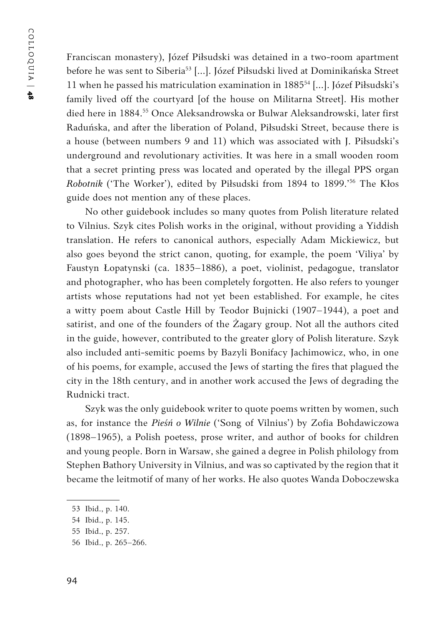Franciscan monastery), Józef Piłsudski was detained in a two-room apartment before he was sent to Siberia<sup>53</sup> [...]. Józef Piłsudski lived at Dominikańska Street 11 when he passed his matriculation examination in 188554 […]. Józef Piłsudski's family lived off the courtyard [of the house on Militarna Street]. His mother died here in 1884.<sup>55</sup> Once Aleksandrowska or Bulwar Aleksandrowski, later first Raduńska, and after the liberation of Poland, Piłsudski Street, because there is a house (between numbers 9 and 11) which was associated with J. Piłsudski's underground and revolutionary activities. It was here in a small wooden room that a secret printing press was located and operated by the illegal PPS organ *Robotnik* ('The Worker'), edited by Piłsudski from 1894 to 1899.'<sup>56</sup> The Kłos guide does not mention any of these places.

No other guidebook includes so many quotes from Polish literature related to Vilnius. Szyk cites Polish works in the original, without providing a Yiddish translation. He refers to canonical authors, especially Adam Mickiewicz, but also goes beyond the strict canon, quoting, for example, the poem 'Viliya' by Faustyn Łopatynski (ca. 1835–1886), a poet, violinist, pedagogue, translator and photographer, who has been completely forgotten. He also refers to younger artists whose reputations had not yet been established. For example, he cites a witty poem about Castle Hill by Teodor Bujnicki (1907–1944), a poet and satirist, and one of the founders of the Żagary group. Not all the authors cited in the guide, however, contributed to the greater glory of Polish literature. Szyk also included anti-semitic poems by Bazyli Bonifacy Jachimowicz, who, in one of his poems, for example, accused the Jews of starting the fires that plagued the city in the 18th century, and in another work accused the Jews of degrading the Rudnicki tract.

Szyk was the only guidebook writer to quote poems written by women, such as, for instance the *Pieśń o Wilnie* ('Song of Vilnius') by Zofia Bohdawiczowa (1898–1965), a Polish poetess, prose writer, and author of books for children and young people. Born in Warsaw, she gained a degree in Polish philology from Stephen Bathory University in Vilnius, and was so captivated by the region that it became the leitmotif of many of her works. He also quotes Wanda Doboczewska

<sup>53</sup> Ibid., p. 140.

<sup>54</sup> Ibid., p. 145.

<sup>55</sup> Ibid., p. 257.

<sup>56</sup> Ibid., p. 265–266.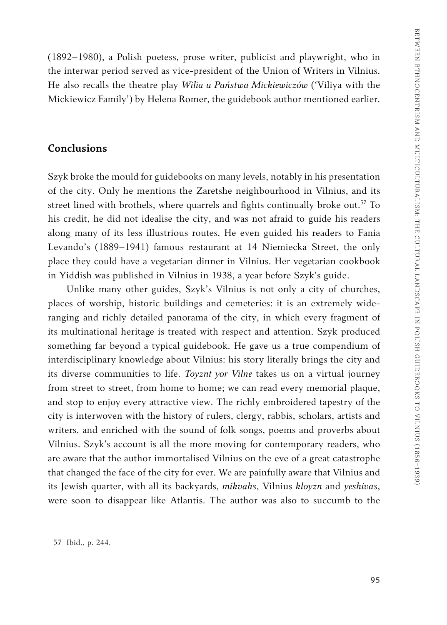(1892–1980), a Polish poetess, prose writer, publicist and playwright, who in the interwar period served as vice-president of the Union of Writers in Vilnius. He also recalls the theatre play *Wilia u Państwa Mickiewiczów* ('Viliya with the Mickiewicz Family') by Helena Romer, the guidebook author mentioned earlier.

#### **Conclusions**

Szyk broke the mould for guidebooks on many levels, notably in his presentation of the city. Only he mentions the Zaretshe neighbourhood in Vilnius, and its street lined with brothels, where quarrels and fights continually broke out.<sup>57</sup> To his credit, he did not idealise the city, and was not afraid to guide his readers along many of its less illustrious routes. He even guided his readers to Fania Levando's (1889–1941) famous restaurant at 14 Niemiecka Street, the only place they could have a vegetarian dinner in Vilnius. Her vegetarian cookbook in Yiddish was published in Vilnius in 1938, a year before Szyk's guide.

Unlike many other guides, Szyk's Vilnius is not only a city of churches, places of worship, historic buildings and cemeteries: it is an extremely wideranging and richly detailed panorama of the city, in which every fragment of its multinational heritage is treated with respect and attention. Szyk produced something far beyond a typical guidebook. He gave us a true compendium of interdisciplinary knowledge about Vilnius: his story literally brings the city and its diverse communities to life. *Toyznt yor Vilne* takes us on a virtual journey from street to street, from home to home; we can read every memorial plaque, and stop to enjoy every attractive view. The richly embroidered tapestry of the city is interwoven with the history of rulers, clergy, rabbis, scholars, artists and writers, and enriched with the sound of folk songs, poems and proverbs about Vilnius. Szyk's account is all the more moving for contemporary readers, who are aware that the author immortalised Vilnius on the eve of a great catastrophe that changed the face of the city for ever. We are painfully aware that Vilnius and its Jewish quarter, with all its backyards, *mikvahs*, Vilnius *kloyzn* and *yeshivas*, were soon to disappear like Atlantis. The author was also to succumb to the

<sup>57</sup> Ibid., p. 244.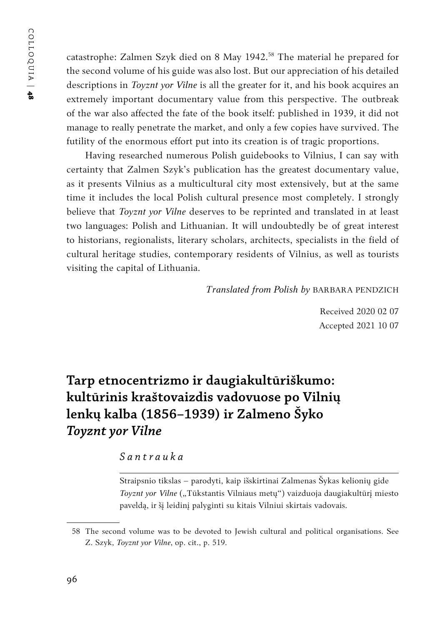COLLOQUIA | COLLOQUIA | 48

catastrophe: Zalmen Szyk died on 8 May 1942.<sup>58</sup> The material he prepared for the second volume of his guide was also lost. But our appreciation of his detailed descriptions in *Toyznt yor Vilne* is all the greater for it, and his book acquires an extremely important documentary value from this perspective. The outbreak of the war also affected the fate of the book itself: published in 1939, it did not manage to really penetrate the market, and only a few copies have survived. The futility of the enormous effort put into its creation is of tragic proportions.

Having researched numerous Polish guidebooks to Vilnius, I can say with certainty that Zalmen Szyk's publication has the greatest documentary value, as it presents Vilnius as a multicultural city most extensively, but at the same time it includes the local Polish cultural presence most completely. I strongly believe that *Toyznt yor Vilne* deserves to be reprinted and translated in at least two languages: Polish and Lithuanian. It will undoubtedly be of great interest to historians, regionalists, literary scholars, architects, specialists in the field of cultural heritage studies, contemporary residents of Vilnius, as well as tourists visiting the capital of Lithuania.

*Translated from Polish by* BARBARA PENDZICH

Received 2020 02 07 Accepted 2021 10 07

## **Tarp etnocentrizmo ir daugiakultūriškumo: kultūrinis kraštovaizdis vadovuose po Vilnių lenkų kalba (1856–1939) ir Zalmeno Šyko**  *Toyznt yor Vilne*

#### *Santrauka*

Straipsnio tikslas – parodyti, kaip išskirtinai Zalmenas Šykas kelionių gide *Toyznt yor Vilne* ("Tūkstantis Vilniaus metų") vaizduoja daugiakultūrį miesto paveldą, ir šį leidinį palyginti su kitais Vilniui skirtais vadovais.

<sup>58</sup> The second volume was to be devoted to Jewish cultural and political organisations. See Z. Szyk, *Toyznt yor Vilne*, op. cit., p. 519.